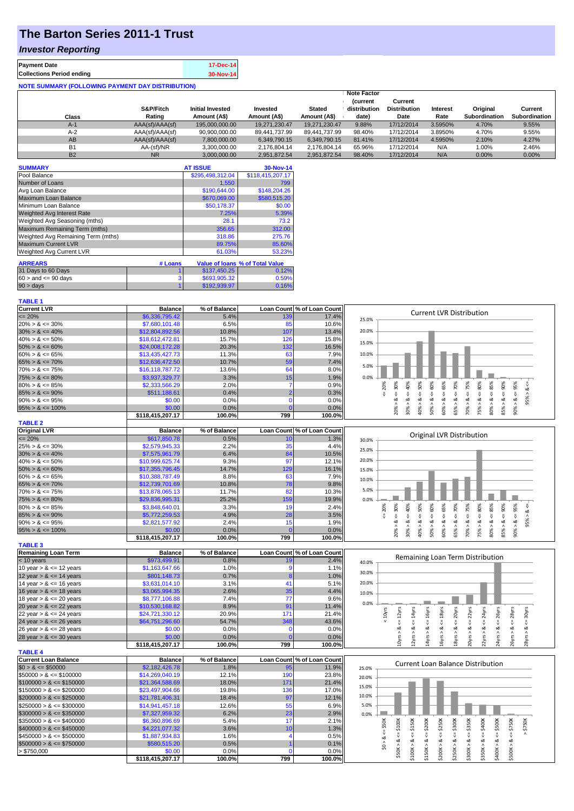# **The Barton Series 2011-1 Trust**

## *Investor Reporting*

| <b>Payment Date</b>                                      | 17-Dec-14 |
|----------------------------------------------------------|-----------|
| <b>Collections Period ending</b>                         | 30-Nov-14 |
| <b>NOTE SUMMARY (FOLLOWING PAYMENT DAY DISTRIBUTION)</b> |           |

| Class     | S&P/Fitch<br>Rating | <b>Initial Invested</b><br>Amount (A\$) | Invested<br>Amount (A\$) | <b>Stated</b><br>Amount (A\$) | <b>Note Factor</b><br><b>Current</b><br>distribution<br>date) | Current<br><b>Distribution</b><br>Date | Interest<br>Rate | Original<br><b>Subordination</b> | Current<br><b>Subordination</b> |
|-----------|---------------------|-----------------------------------------|--------------------------|-------------------------------|---------------------------------------------------------------|----------------------------------------|------------------|----------------------------------|---------------------------------|
| $A-1$     | AAA(sf)/AAA(sf)     | 195,000,000.00                          | 19,271,230.47            | 19.271.230.47                 | 9.88%                                                         | 17/12/2014                             | 3.5950%          | 4.70%                            | 9.55%                           |
| $A-2$     | AAA(sf)/AAA(sf)     | 90,900,000.00                           | 89.441.737.99            | 89.441.737.99                 | 98.40%                                                        | 17/12/2014                             | 3.8950%          | 4.70%                            | 9.55%                           |
| AB        | AAA(sf)/AAA(sf)     | 7,800,000.00                            | 6.349.790.15             | 6.349.790.15                  | 81.41%                                                        | 17/12/2014                             | 4.5950%          | 2.10%                            | 4.27%                           |
| <b>B1</b> | AA-(sf)/NR          | 3,300,000.00                            | 2.176.804.14             | 2.176.804.14                  | 65.96%                                                        | 17/12/2014                             | N/A              | 1.00%                            | 2.46%                           |
| <b>B2</b> | <b>NR</b>           | 3,000,000.00                            | 2,951,872.54             | 2,951,872.54                  | 98.40%                                                        | 17/12/2014                             | N/A              | 0.00%                            | 0.00%                           |

| <b>SUMMARY</b>                     |         | <b>AT ISSUE</b>  | 30-Nov-14                       |
|------------------------------------|---------|------------------|---------------------------------|
| Pool Balance                       |         | \$295,498,312.04 | \$118,415,207.17                |
| Number of Loans                    |         | 1,550            | 799                             |
| Avg Loan Balance                   |         | \$190,644.00     | \$148,204.26                    |
| Maximum Loan Balance               |         | \$670,069.00     | \$580,515.20                    |
| Minimum Loan Balance               |         | \$50,178.37      | \$0.00                          |
| <b>Weighted Avg Interest Rate</b>  |         | 7.25%            | 5.39%                           |
| Weighted Avg Seasoning (mths)      |         | 28.1             | 73.2                            |
| Maximum Remaining Term (mths)      |         | 356.65           | 312.00                          |
| Weighted Avg Remaining Term (mths) |         | 318.86           | 275.76                          |
| <b>Maximum Current LVR</b>         |         | 89.75%           | 85.60%                          |
| <b>Weighted Avg Current LVR</b>    |         | 61.03%           | 53.23%                          |
| <b>ARREARS</b>                     | # Loans |                  | Value of Ioans % of Total Value |
| 31 Days to 60 Days                 |         | \$137,450.25     | 0.12%                           |
| $60 >$ and $\leq 90$ days          | 3       | \$693,905.32     | 0.59%                           |
| $90 > \text{days}$                 |         | \$192.939.97     | 0.16%                           |

#### **TABLE 1**

| <b>Current LVR</b>                                      | <b>Balance</b>                     | % of Balance   |                   | Loan Count % of Loan Count |       |                       |                      |                              |                       |                             | <b>Current LVR Distribution</b>             |                       |                             |                           |                    |
|---------------------------------------------------------|------------------------------------|----------------|-------------------|----------------------------|-------|-----------------------|----------------------|------------------------------|-----------------------|-----------------------------|---------------------------------------------|-----------------------|-----------------------------|---------------------------|--------------------|
| $= 20%$                                                 | \$6,336,795.42                     | 5.4%           | 139               | 17.4%                      | 25.0% |                       |                      |                              |                       |                             |                                             |                       |                             |                           |                    |
| $20\% > 8 \le 30\%$                                     | \$7,680,101.48                     | 6.5%           | 85                | 10.6%                      |       |                       |                      |                              |                       |                             |                                             |                       |                             |                           |                    |
| $30\% > 8 \le 40\%$                                     | \$12,804,892.56                    | 10.8%          | 107               | 13.4%                      | 20.0% |                       |                      |                              |                       |                             |                                             |                       |                             |                           |                    |
| $40\% > 8 \le 50\%$                                     | \$18,612,472.81                    | 15.7%          | 126               | 15.8%                      | 15.0% |                       |                      |                              |                       |                             |                                             |                       |                             |                           |                    |
| $50\% > 8 \le 60\%$                                     | \$24,008,172.28                    | 20.3%          | 132               | 16.5%                      |       |                       |                      |                              |                       |                             |                                             |                       |                             |                           |                    |
| $60\% > 8 \le 65\%$                                     | \$13,435,427.73                    | 11.3%          | 63                | 7.9%                       | 10.0% |                       |                      |                              |                       |                             |                                             |                       |                             |                           |                    |
| $65\% > 8 \le 70\%$                                     | \$12,636,472.50                    | 10.7%          | 59                | 7.4%                       |       |                       |                      |                              |                       |                             |                                             |                       |                             |                           |                    |
| $70\% > 8 \le 75\%$                                     | \$16,118,787.72                    | 13.6%          | 64                | 8.0%                       | 5.0%  |                       |                      |                              |                       |                             |                                             |                       |                             |                           |                    |
| $75\% > 8 \le 80\%$                                     | \$3,937,329.77                     | 3.3%           | 15                | 1.9%                       | 0.0%  |                       |                      |                              |                       |                             |                                             |                       |                             |                           |                    |
| $80\% > 8 \le 85\%$                                     | \$2,333,566.29                     | 2.0%           |                   | 0.9%                       |       | $20\% > 8 \leq 30\%$  | $\leq 50\%$          | $50\% > 8 \le 60\%$          | 65%                   | $4 = 70\%$                  | $70\% > 8 \leq T5\%$<br>$75\% > 8 \le 80\%$ | $\leq 85\%$           | $85\% > 8 \leq 90\%$        | 95%                       |                    |
| $85\% > 8 \le 90\%$                                     | \$511,188.61                       | 0.4%           | $\overline{2}$    | 0.3%                       |       | $\epsilon = 20\%$     | 40%                  |                              | ₩                     |                             |                                             |                       |                             |                           |                    |
| $90\% > 8 \le 95\%$                                     | \$0.00                             | 0.0%           | $\mathbf 0$       | 0.0%                       |       |                       | $\dot{\infty}$       |                              |                       |                             |                                             |                       |                             | $90\% > 8 <$              | 95% > 8 <          |
| $95\% > 8 \le 100\%$                                    | \$0.00                             | 0.0%           | $\Omega$          | 0.0%                       |       |                       | 30% > 8<br>40% >     |                              | 60% > 8               | 65% > 8                     |                                             | 80% > 8               |                             |                           |                    |
|                                                         | \$118,415,207.17                   | 100.0%         | 799               | 100.0%                     |       |                       |                      |                              |                       |                             |                                             |                       |                             |                           |                    |
| <b>TABLE 2</b>                                          |                                    |                |                   |                            |       |                       |                      |                              |                       |                             |                                             |                       |                             |                           |                    |
| <b>Original LVR</b>                                     | <b>Balance</b>                     | % of Balance   |                   | Loan Count % of Loan Count |       |                       |                      |                              |                       |                             |                                             |                       |                             |                           |                    |
| $= 20%$                                                 | \$617,850.78                       | 0.5%           | 10                | 1.3%                       | 30.0% |                       |                      |                              |                       |                             | <b>Original LVR Distribution</b>            |                       |                             |                           |                    |
| $25\% > 8 \le 30\%$                                     | \$2,579,945.33                     | 2.2%           | 35                | 4.4%                       |       |                       |                      |                              |                       |                             |                                             |                       |                             |                           |                    |
| $30\% > 8 \le 40\%$                                     | \$7,575,961.79                     | 6.4%           | 84                | 10.5%                      | 25.0% |                       |                      |                              |                       |                             |                                             |                       |                             |                           |                    |
| $40\% > 8 \le 50\%$                                     | \$10,999,625.74                    | 9.3%           | 97                | 12.1%                      | 20.0% |                       |                      |                              |                       |                             |                                             |                       |                             |                           |                    |
| $50\% > 8 \le 60\%$                                     | \$17,355,796.45                    | 14.7%          | 129               | 16.1%                      | 15.0% |                       |                      |                              |                       |                             |                                             |                       |                             |                           |                    |
| $60\% > 8 \le 65\%$                                     | \$10,388,787.49                    | 8.8%           | 63                | 7.9%                       |       |                       |                      |                              |                       |                             |                                             |                       |                             |                           |                    |
| $65\% > 8 \le 70\%$                                     | \$12,739,701.69                    | 10.8%          | 78                | 9.8%                       | 10.0% |                       |                      |                              |                       |                             |                                             |                       |                             |                           |                    |
| $70\% > 8 \le 75\%$                                     | \$13,878,065.13                    | 11.7%          | 82                | 10.3%                      | 5.0%  |                       |                      |                              |                       |                             |                                             |                       |                             |                           |                    |
| $75\% > 8 \le 80\%$                                     | \$29,836,995.31                    | 25.2%          | 159               | 19.9%                      | 0.0%  |                       |                      |                              |                       |                             |                                             |                       |                             |                           |                    |
| $80\% > 8 \le 85\%$                                     | \$3,848,640.01                     | 3.3%           | 19                | 2.4%                       |       |                       |                      |                              |                       |                             |                                             |                       |                             |                           |                    |
| $85\% > 8 \le 90\%$                                     | \$5,772,259.53                     | 4.9%           | 28                | 3.5%                       |       | $\epsilon = 20\%$     | $< = 50\%$           |                              |                       |                             |                                             |                       |                             |                           |                    |
| $90\% > 8 \le 95\%$                                     | \$2,821,577.92                     | 2.4%           | 15                | 1.9%                       |       |                       | $> 8 <= 40\%$        |                              | $> 8$ <= 65%          |                             |                                             |                       |                             |                           | $95% > 8 < =$      |
| $95\% > 8 \le 100\%$                                    | \$0.00                             | 0.0%           |                   | 0.0%                       |       | $20\% > 8 < z = 30\%$ | 40% > 8.             | $50\% > 8 < \epsilon = 60\%$ |                       | $65% > 8 < = 70%$           | $70\% > 8 <= 75\%$<br>$75% > 8 <= 80%$      | $80\% > 8 < z = 85\%$ | $85% > 8 < = 90%$           | $90\% > 8 < = 95\%$       |                    |
|                                                         | \$118,415,207.17                   | 100.0%         | 799               | 100.0%                     |       |                       | 30%                  |                              | 60%                   |                             |                                             |                       |                             |                           |                    |
| <b>TABLE 3</b>                                          |                                    |                |                   |                            |       |                       |                      |                              |                       |                             |                                             |                       |                             |                           |                    |
| <b>Remaining Loan Term</b>                              | <b>Balance</b>                     | % of Balance   |                   | Loan Count % of Loan Count |       |                       |                      |                              |                       |                             |                                             |                       |                             |                           |                    |
| $<$ 10 years                                            | \$973,499.91                       | 0.8%           | 19                | 2.4%                       | 40.0% |                       |                      |                              |                       |                             | Remaining Loan Term Distribution            |                       |                             |                           |                    |
| 10 year $> 8 \le 12$ years                              | \$1,163,647.66                     | 1.0%           | -9                | 1.1%                       |       |                       |                      |                              |                       |                             |                                             |                       |                             |                           |                    |
| 12 year $> 8 \le 14$ years                              | \$801,148.73                       | 0.7%           |                   | 1.0%                       | 30.0% |                       |                      |                              |                       |                             |                                             |                       |                             |                           |                    |
| 14 year $> 8 \le 16$ years                              | \$3,631,014.10                     | 3.1%           | 41                | 5.1%                       | 20.0% |                       |                      |                              |                       |                             |                                             |                       |                             |                           |                    |
| 16 year $> 8 \le 18$ years                              | \$3,065,994.35                     | 2.6%           | 35                |                            |       |                       |                      |                              |                       |                             |                                             |                       |                             |                           |                    |
| 18 year $> 8 \le 20$ years                              | \$8,777,106.88                     |                |                   |                            |       |                       |                      |                              |                       |                             |                                             |                       |                             |                           |                    |
|                                                         |                                    |                |                   | 4.4%                       | 10.0% |                       |                      |                              |                       |                             |                                             |                       |                             |                           |                    |
|                                                         |                                    | 7.4%           | 77                | 9.6%                       | 0.0%  |                       |                      |                              |                       |                             |                                             |                       |                             |                           |                    |
| 20 year $> 8 \le 22$ years                              | \$10,530,168.82                    | 8.9%           | 91                | 11.4%                      |       |                       |                      |                              |                       |                             |                                             |                       |                             |                           |                    |
| 22 year $> 8 \le 24$ years                              | \$24,721,330.12                    | 20.9%          | 171               | 21.4%                      |       | $< 10$ yrs            |                      |                              |                       |                             |                                             |                       |                             |                           |                    |
| 24 year $> 8 \le 26$ years                              | \$64,751,296.60                    | 54.7%          | 348<br>0          | 43.6%                      |       |                       |                      |                              |                       | $\epsilon$ = 20 $\gamma$ rs | $\epsilon$ = 22 $\gamma$ rs                 | $\leq$ 24yrs<br>ಷ     | $\epsilon$ = 26 $y$ rs<br>ઌ | $\leq$ $28\gamma$ rs<br>ઌ | $\leq$ 30 yrs<br>ઌ |
| 26 year $> 8 \le 28$ years                              | \$0.00                             | 0.0%           |                   | 0.0%                       |       |                       |                      |                              |                       |                             |                                             |                       |                             |                           |                    |
| 28 year $> 8 \le 30$ years                              | \$0.00<br>\$118,415,207.17         | 0.0%<br>100.0% | 799               | 0.0%<br>100.0%             |       | $10yrs > 8 \le 12yrs$ | $12yrs > 8c = 14yrs$ | $14yrs > 8 \le 16yrs$        | $16yrs > 8 \le 18yrs$ | 18yrs > 8                   | $20$ yrs > &                                | 22yrs > i             | 24yrs >                     | 26yrs >                   | 28yrs              |
|                                                         |                                    |                |                   |                            |       |                       |                      |                              |                       |                             |                                             |                       |                             |                           |                    |
| <b>TABLE 4</b><br><b>Current Loan Balance</b>           | <b>Balance</b>                     | % of Balance   | <b>Loan Count</b> | % of Loan Count            |       |                       |                      |                              |                       |                             |                                             |                       |                             |                           |                    |
| $$0 > 8 \leq $50000$                                    | \$2,182,426.78                     | 1.8%           | 95                | 11.9%                      |       |                       |                      |                              |                       |                             | <b>Current Loan Balance Distribution</b>    |                       |                             |                           |                    |
| $$50000 > 8 \le $100000$                                |                                    | 12.1%          | 190               |                            | 25.0% |                       |                      |                              |                       |                             |                                             |                       |                             |                           |                    |
|                                                         | \$14,269,040.19                    | 18.0%          | 171               | 23.8%<br>21.4%             | 20.0% |                       |                      |                              |                       |                             |                                             |                       |                             |                           |                    |
| $$100000 > 8 \le $150000$<br>$$150000 > 8 \leq $200000$ | \$21,364,588.69<br>\$23,497,904.66 | 19.8%          | 136               | 17.0%                      | 15.0% |                       |                      |                              |                       |                             |                                             |                       |                             |                           |                    |
| $$200000 > 8 \leq $250000$                              | \$21,781,406.31                    | 18.4%          | 97                | 12.1%                      | 10.0% |                       |                      |                              |                       |                             |                                             |                       |                             |                           |                    |
| $$250000 > 8 \leq $300000$                              |                                    | 12.6%          | 55                | 6.9%                       | 5.0%  |                       |                      |                              |                       |                             |                                             |                       |                             |                           |                    |
|                                                         | \$14,941,457.18                    |                | 23                |                            |       |                       |                      |                              |                       |                             |                                             |                       |                             |                           |                    |
| $$300000 > 8 \leq $350000$                              | \$7,327,959.32                     | 6.2%           |                   | 2.9%                       | 0.0%  |                       |                      |                              |                       |                             |                                             |                       |                             |                           |                    |
| $$350000 > 8 \leq $400000$                              | \$6,360,896.69                     | 5.4%           | 17                | 2.1%                       |       |                       |                      |                              |                       |                             |                                             |                       |                             |                           |                    |
| $$400000 > 8 \leq $450000$                              | \$4,221,077.32                     | 3.6%           | 10                | 1.3%                       |       | $<=$ \$50K            |                      |                              | $\leq$ 5250K          | $4 = $300K$                 | $-5350K$<br>₩                               | $-5400K$<br>₩         |                             | $4 = $750K$<br>$>$ \$750K |                    |
| $$450000 > 8 \leq $500000$                              | \$1,887,934.83                     | 1.6%           |                   | 0.5%                       |       |                       | $\le$ = \$150K       | $4 = $200K$                  |                       |                             |                                             |                       | $4 = $500K$                 |                           |                    |
| $$500000 > 8 \leq $750000$                              | \$580,515.20                       | 0.5%           |                   | 0.1%                       |       | \$0 > 8               |                      |                              |                       |                             |                                             |                       |                             |                           |                    |
| > \$750,000                                             | \$0.00<br>\$118,415,207.17         | 0.0%<br>100.0% | 799               | 0.0%<br>100.0%             |       | $$50K > 8 <= $100K$   | \$100K > 8           | \$150K > 8                   | \$200K > 8            | \$250K > 8                  | \$300K > 8                                  | \$350K > 8            | \$400K > 8                  | \$500K > 8                |                    |